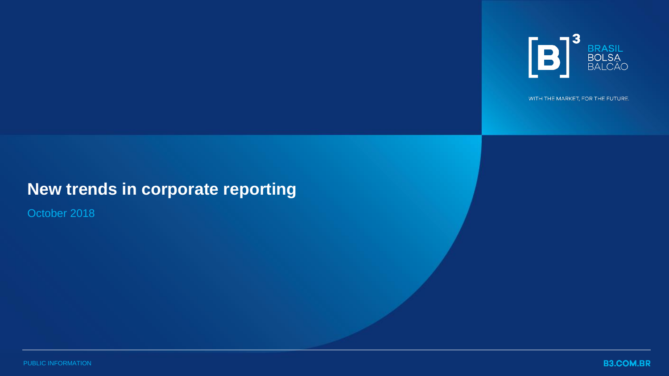

WITH THE MARKET, FOR THE FUTURE.

# **New trends in corporate reporting**

October 2018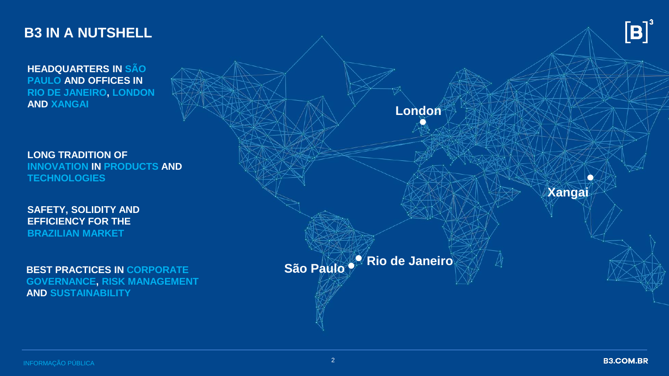### **B3 IN A NUTSHELL**

**HEADQUARTERS IN SÃO PAULO AND OFFICES IN RIO DE JANEIRO, LONDON AND XANGAI**

**LONG TRADITION OF INNOVATION IN PRODUCTS AND TECHNOLOGIES**

**SAFETY, SOLIDITY AND EFFICIENCY FOR THE BRAZILIAN MARKET**

**BEST PRACTICES IN CORPORATE GOVERNANCE, RISK MANAGEMENT AND SUSTAINABILITY**

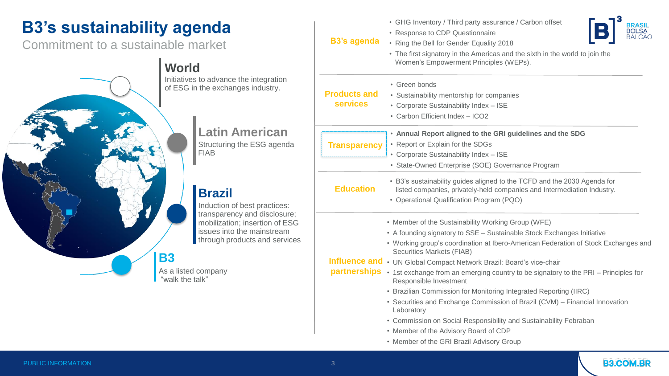# **B3's sustainability agenda**

Commitment to a sustainable market



| ration<br>stry.                                                           |                     | • GHG Inventory / Third party assurance / Carbon offset<br><b>BRASIL</b>                                                                            |
|---------------------------------------------------------------------------|---------------------|-----------------------------------------------------------------------------------------------------------------------------------------------------|
|                                                                           | <b>B3's agenda</b>  | • Response to CDP Questionnaire                                                                                                                     |
|                                                                           |                     | • Ring the Bell for Gender Equality 2018                                                                                                            |
|                                                                           |                     | • The first signatory in the Americas and the sixth in the world to join the<br>Women's Empowerment Principles (WEPs).                              |
|                                                                           |                     | • Green bonds                                                                                                                                       |
|                                                                           | <b>Products and</b> | • Sustainability mentorship for companies                                                                                                           |
|                                                                           | <b>services</b>     | • Corporate Sustainability Index - ISE                                                                                                              |
|                                                                           |                     | • Carbon Efficient Index - ICO2                                                                                                                     |
| can<br>agenda<br>ctices:<br>sclosure;<br>n of ESG<br>stream<br>d services |                     | . Annual Report aligned to the GRI guidelines and the SDG                                                                                           |
|                                                                           | <b>Transparency</b> | • Report or Explain for the SDGs                                                                                                                    |
|                                                                           |                     | • Corporate Sustainability Index - ISE                                                                                                              |
|                                                                           |                     | • State-Owned Enterprise (SOE) Governance Program                                                                                                   |
|                                                                           | <b>Education</b>    | • B3's sustainability guides aligned to the TCFD and the 2030 Agenda for<br>listed companies, privately-held companies and Intermediation Industry. |
|                                                                           |                     | • Operational Qualification Program (PQO)                                                                                                           |
|                                                                           |                     | • Member of the Sustainability Working Group (WFE)                                                                                                  |
|                                                                           |                     | • A founding signatory to SSE - Sustainable Stock Exchanges Initiative                                                                              |
|                                                                           |                     | • Working group's coordination at Ibero-American Federation of Stock Exchanges and<br><b>Securities Markets (FIAB)</b>                              |
|                                                                           |                     | Influence and • UN Global Compact Network Brazil: Board's vice-chair                                                                                |
|                                                                           |                     | partnerships • 1st exchange from an emerging country to be signatory to the PRI - Principles for<br>Responsible Investment                          |
|                                                                           |                     | • Brazilian Commission for Monitoring Integrated Reporting (IIRC)                                                                                   |
|                                                                           |                     | • Securities and Exchange Commission of Brazil (CVM) - Financial Innovation<br>Laboratory                                                           |
|                                                                           |                     | • Commission on Social Responsibility and Sustainability Febraban                                                                                   |
|                                                                           |                     | • Member of the Advisory Board of CDP                                                                                                               |
|                                                                           |                     | • Member of the GRI Brazil Advisory Group                                                                                                           |

**B3.COM.BR**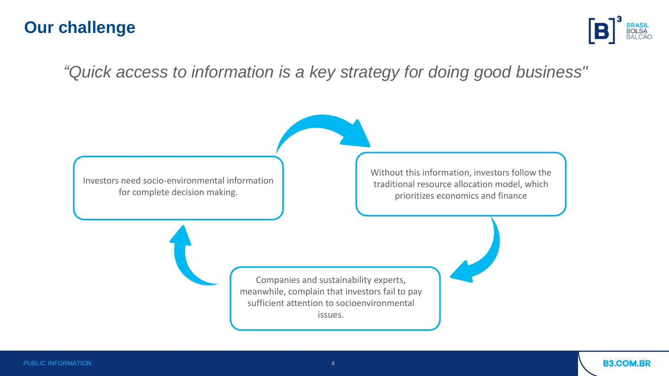## **Our challenge**



## *"Quick access to information is a key strategy for doing good business"*

Investors need socio-environmental information for complete decision making.

Without this information, investors follow the traditional resource allocation model, which prioritizes economics and finance

Companies and sustainability experts, meanwhile, complain that investors fail to pay sufficient attention to socioenvironmental issues.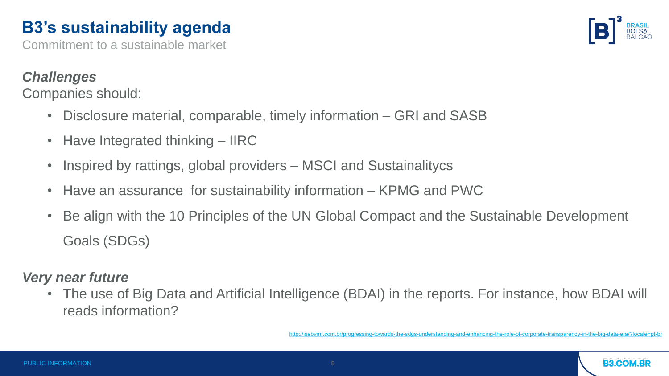# **B3's sustainability agenda**

Commitment to a sustainable market

#### *Challenges*

Companies should:

- Disclosure material, comparable, timely information GRI and SASB
- Have Integrated thinking IIRC
- Inspired by rattings, global providers MSCI and Sustainalitycs
- Have an assurance for sustainability information KPMG and PWC
- Be align with the 10 Principles of the UN Global Compact and the Sustainable Development Goals (SDGs)

### *Very near future*

• The use of Big Data and Artificial Intelligence (BDAI) in the reports. For instance, how BDAI will reads information?